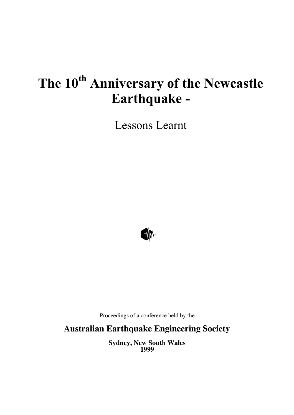# **The 10th Anniversary of the Newcastle Earthquake -**

Lessons Learnt



Proceedings of a conference held by the

**Australian Earthquake Engineering Society**

**Sydney, New South Wales 1999**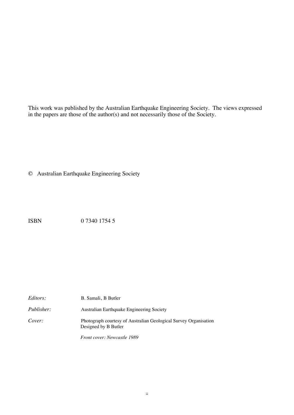This work was published by the Australian Earthquake Engineering Society. The views expressed in the papers are those of the author(s) and not necessarily those of the Society.

© Australian Earthquake Engineering Society

ISBN 0 7340 1754 5

| <i>Editors:</i>   | B. Samali, B Butler                                                                      |
|-------------------|------------------------------------------------------------------------------------------|
| <i>Publisher:</i> | Australian Earthquake Engineering Society                                                |
| Cover:            | Photograph courtesy of Australian Geological Survey Organisation<br>Designed by B Butler |

*Front cover: Newcastle 1989*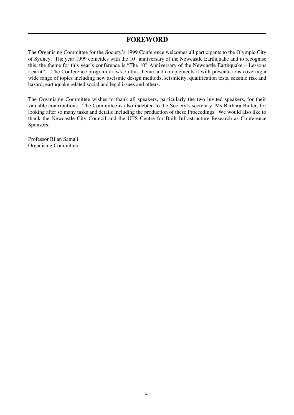#### **FOREWORD**

The Organising Committee for the Society's 1999 Conference welcomes all participants to the Olympic City of Sydney. The year 1999 coincides with the  $10<sup>th</sup>$  anniversary of the Newcastle Earthquake and to recognise this, the theme for this year's conference is "The  $10<sup>th</sup>$  Anniversary of the Newcastle Earthquake – Lessons Learnt". The Conference program draws on this theme and complements it with presentations covering a wide range of topics including new aseismic design methods, seismicity, qualification tests, seismic risk and hazard, earthquake related social and legal issues and others.

The Organising Committee wishes to thank all speakers, particularly the two invited speakers, for their valuable contributions. The Committee is also indebted to the Society's secretary, Ms Barbara Butler, for looking after so many tasks and details including the production of these Proceedings. We would also like to thank the Newcastle City Council and the UTS Centre for Built Infrastructure Research as Conference Sponsors.

Professor Bijan Samali Organising Committee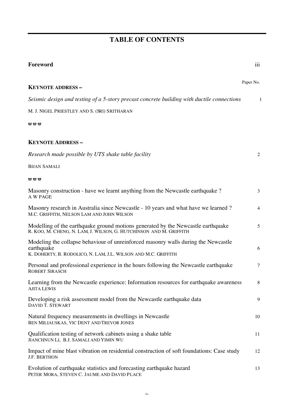## **TABLE OF CONTENTS**

| Foreword                                                                                                                                                           | $\overline{111}$ |
|--------------------------------------------------------------------------------------------------------------------------------------------------------------------|------------------|
| <b>KEYNOTE ADDRESS-</b>                                                                                                                                            | Paper No.        |
| Seismic design and testing of a 5-story precast concrete building with ductile connections                                                                         | 1                |
| M. J. NIGEL PRIESTLEY AND S. (SRI) SRITHARAN                                                                                                                       |                  |
| <b>ww</b>                                                                                                                                                          |                  |
| <b>KEYNOTE ADDRESS-</b>                                                                                                                                            |                  |
| Research made possible by UTS shake table facility                                                                                                                 | 2                |
| <b>BIJAN SAMALI</b>                                                                                                                                                |                  |
| $\boldsymbol{\varpi}\,\boldsymbol{\varpi}\,\boldsymbol{\varpi}$                                                                                                    |                  |
| Masonry construction - have we learnt anything from the Newcastle earthquake?<br>A W PAGE                                                                          | 3                |
| Masonry research in Australia since Newcastle - 10 years and what have we learned?<br>M.C. GRIFFITH, NELSON LAM AND JOHN WILSON                                    | 4                |
| Modelling of the earthquake ground motions generated by the Newcastle earthquake<br>R. KOO, M. CHENG, N. LAM, J. WILSON, G. HUTCHINSON AND M. GRIFFITH             | 5                |
| Modeling the collapse behaviour of unreinforced masonry walls during the Newcastle<br>earthquake<br>K. DOHERTY, B. RODOLICO, N. LAM, J.L. WILSON AND M.C. GRIFFITH | 6                |
| Personal and professional experience in the hours following the Newcastle earthquake<br><b>ROBERT SIRASCH</b>                                                      | 7                |
| Learning from the Newcastle experience: Information resources for earthquake awareness<br><b>AJITA LEWIS</b>                                                       | 8                |
| Developing a risk assessment model from the Newcastle earthquake data<br>DAVID T. STEWART                                                                          | 9                |
| Natural frequency measurements in dwellings in Newcastle<br>BEN MILIAUSKAS, VIC DENT AND TREVOR JONES                                                              | 10               |
| Qualification testing of network cabinets using a shake table<br>JIANCHNUN LI, B.J. SAMALI AND YIMIN WU                                                            | 11               |
| Impact of mine blast vibration on residential construction of soft foundations: Case study<br><b>J.F. BERTHON</b>                                                  | 12               |
| Evolution of earthquake statistics and forecasting earthquake hazard<br>PETER MORA, STEVEN C. JAUME AND DAVID PLACE                                                | 13               |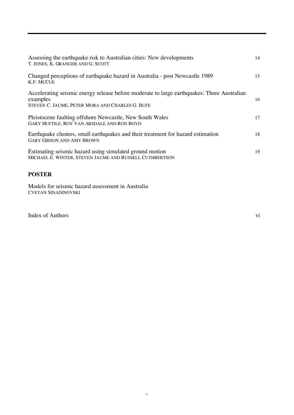| Assessing the earthquake risk to Australian cities: New developments<br>T. JONES, K. GRANGER AND G. SCOTT                                                 | 14 |
|-----------------------------------------------------------------------------------------------------------------------------------------------------------|----|
| Changed perceptions of earthquake hazard in Australia - post Newcastle 1989<br>K.F. MCCUE                                                                 | 15 |
| Accelerating seismic energy release before moderate to large earthquakes: Three Australian<br>examples<br>STEVEN C. JAUME, PETER MORA AND CHARLES G. BUFE | 16 |
| Pleistocene faulting offshore Newcastle, New South Wales<br>GARY HUFTILE, ROY VAN ARSDALE AND RON BOYD                                                    | 17 |
| Earthquake clusters, small earthquakes and their treatment for hazard estimation<br><b>GARY GIBSON AND AMY BROWN</b>                                      | 18 |
| Estimating seismic hazard using simulated ground motion<br>MICHAEL E. WINTER, STEVEN JAUME AND RUSSELL CUTHBERTSON                                        | 19 |

#### **POSTER**

Models for seismic hazard assessment in Australia CVETAN SINADINOVSKI

Index of Authors vi vi